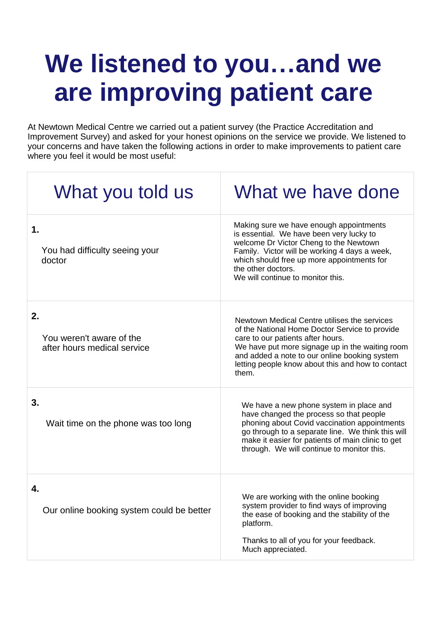## **We listened to you...and we are improving patient care**

At Newtown Medical Centre we carried out a patient survey (the Practice Accreditation and Improvement Survey) and asked for your honest opinions on the service we provide. We listened to your concerns and have taken the following actions in order to make improvements to patient care where you feel it would be most useful:

| What you told us                                              | What we have done                                                                                                                                                                                                                                                                                     |
|---------------------------------------------------------------|-------------------------------------------------------------------------------------------------------------------------------------------------------------------------------------------------------------------------------------------------------------------------------------------------------|
| $\mathbf 1$ .<br>You had difficulty seeing your<br>doctor     | Making sure we have enough appointments<br>is essential. We have been very lucky to<br>welcome Dr Victor Cheng to the Newtown<br>Family. Victor will be working 4 days a week,<br>which should free up more appointments for<br>the other doctors.<br>We will continue to monitor this.               |
| 2.<br>You weren't aware of the<br>after hours medical service | Newtown Medical Centre utilises the services<br>of the National Home Doctor Service to provide<br>care to our patients after hours.<br>We have put more signage up in the waiting room<br>and added a note to our online booking system<br>letting people know about this and how to contact<br>them. |
| 3.<br>Wait time on the phone was too long                     | We have a new phone system in place and<br>have changed the process so that people<br>phoning about Covid vaccination appointments<br>go through to a separate line. We think this will<br>make it easier for patients of main clinic to get<br>through. We will continue to monitor this.            |
| 4.<br>Our online booking system could be better               | We are working with the online booking<br>system provider to find ways of improving<br>the ease of booking and the stability of the<br>platform.<br>Thanks to all of you for your feedback.<br>Much appreciated.                                                                                      |